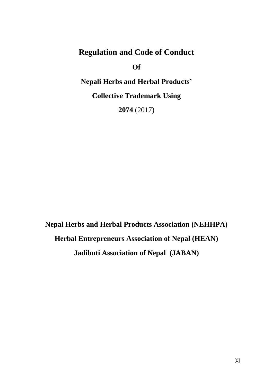# **Regulation and Code of Conduct**

**Of**

# **Nepali Herbs and Herbal Products'**

**Collective Trademark Using**

**2074** (2017)

**Nepal Herbs and Herbal Products Association (NEHHPA) Herbal Entrepreneurs Association of Nepal (HEAN) Jadibuti Association of Nepal (JABAN)**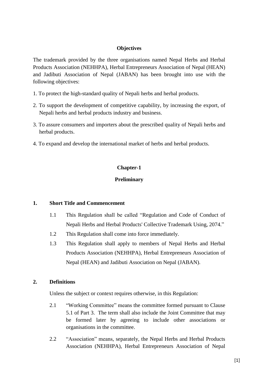#### **Objectives**

The trademark provided by the three organisations named Nepal Herbs and Herbal Products Association (NEHHPA), Herbal Entrepreneurs Association of Nepal (HEAN) and Jadibuti Association of Nepal (JABAN) has been brought into use with the following objectives:

- 1. To protect the high-standard quality of Nepali herbs and herbal products.
- 2. To support the development of competitive capability, by increasing the export, of Nepali herbs and herbal products industry and business.
- 3. To assure consumers and importers about the prescribed quality of Nepali herbs and herbal products.
- 4. To expand and develop the international market of herbs and herbal products.

## **Chapter-1**

## **Preliminary**

#### **1. Short Title and Commencement**

- 1.1 This Regulation shall be called "Regulation and Code of Conduct of Nepali Herbs and Herbal Products' Collective Trademark Using, 2074."
- 1.2 This Regulation shall come into force immediately.
- 1.3 This Regulation shall apply to members of Nepal Herbs and Herbal Products Association (NEHHPA), Herbal Entrepreneurs Association of Nepal (HEAN) and Jadibuti Association on Nepal (JABAN).

#### **2. Definitions**

Unless the subject or context requires otherwise, in this Regulation:

- 2.1 "Working Committee" means the committee formed pursuant to Clause 5.1 of Part 3. The term shall also include the Joint Committee that may be formed later by agreeing to include other associations or organisations in the committee.
- 2.2 "Association" means, separately, the Nepal Herbs and Herbal Products Association (NEHHPA), Herbal Entrepreneurs Association of Nepal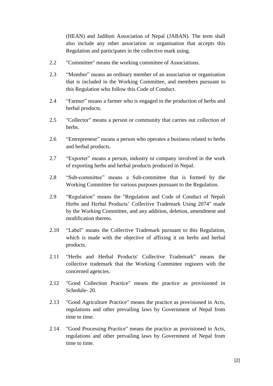(HEAN) and Jadibuti Association of Nepal (JABAN). The term shall also include any other association or organisation that accepts this Regulation and participates in the collective mark using.

- 2.2 "Committee" means the working committee of Associations.
- 2.3 "Member" means an ordinary member of an association or organisation that is included in the Working Committee, and members pursuant to this Regulation who follow this Code of Conduct.
- 2.4 "Farmer" means a farmer who is engaged in the production of herbs and herbal products.
- 2.5 "Collector" means a person or community that carries out collection of herbs.
- 2.6 "Entrepreneur" means a person who operates a business related to herbs and herbal products.
- 2.7 "Exporter" means a person, industry or company involved in the work of exporting herbs and herbal products produced in Nepal.
- 2.8 "Sub-committee" means a Sub-committee that is formed by the Working Committee for various purposes pursuant to the Regulation.
- 2.9 "Regulation" means the "Regulation and Code of Conduct of Nepali Herbs and Herbal Products' Collective Trademark Using 2074" made by the Working Committee, and any addition, deletion, amendment and modification thereto.
- 2.10 "Label" means the Collective Trademark pursuant to this Regulation, which is made with the objective of affixing it on herbs and herbal products.
- 2.11 "Herbs and Herbal Products' Collective Trademark" means the collective trademark that the Working Committee registers with the concerned agencies.
- 2.12 "Good Collection Practice" means the practice as provisioned in Schedule- 20.
- 2.13 "Good Agriculture Practice" means the practice as provisioned in Acts, regulations and other prevailing laws by Government of Nepal from time to time.
- 2.14 "Good Processing Practice" means the practice as provisioned in Acts, regulations and other prevailing laws by Government of Nepal from time to time.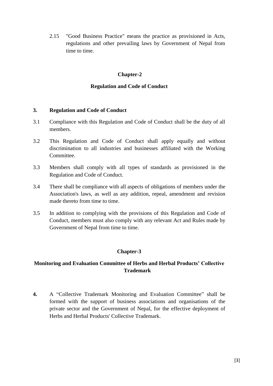2.15 "Good Business Practice" means the practice as provisioned in Acts, regulations and other prevailing laws by Government of Nepal from time to time.

## **Chapter-2**

### **Regulation and Code of Conduct**

#### **3. Regulation and Code of Conduct**

- 3.1 Compliance with this Regulation and Code of Conduct shall be the duty of all members.
- 3.2 This Regulation and Code of Conduct shall apply equally and without discrimination to all industries and businesses affiliated with the Working Committee.
- 3.3 Members shall comply with all types of standards as provisioned in the Regulation and Code of Conduct.
- 3.4 There shall be compliance with all aspects of obligations of members under the Association's laws, as well as any addition, repeal, amendment and revision made thereto from time to time.
- 3.5 In addition to complying with the provisions of this Regulation and Code of Conduct, members must also comply with any relevant Act and Rules made by Government of Nepal from time to time.

## **Chapter-3**

## **Monitoring and Evaluation Committee of Herbs and Herbal Products' Collective Trademark**

**4.** A "Collective Trademark Monitoring and Evaluation Committee" shall be formed with the support of business associations and organisations of the private sector and the Government of Nepal, for the effective deployment of Herbs and Herbal Products' Collective Trademark.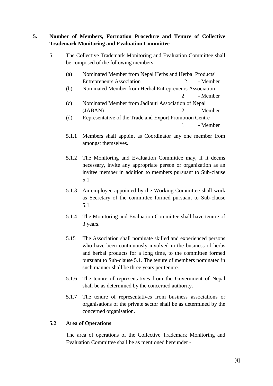## **5. Number of Members, Formation Procedure and Tenure of Collective Trademark Monitoring and Evaluation Committee**

5.1 The Collective Trademark Monitoring and Evaluation Committee shall be composed of the following members:

| (a) | Nominated Member from Nepal Herbs and Herbal Products' |          |
|-----|--------------------------------------------------------|----------|
|     | <b>Entrepreneurs Association</b>                       | - Member |

- (b) Nominated Member from Herbal Entrepreneurs Association 2 - Member
- (c) Nominated Member from Jadibuti Association of Nepal (JABAN) 2 - Member
- (d) Representative of the Trade and Export Promotion Centre 1 - Member
- 5.1.1 Members shall appoint as Coordinator any one member from amongst themselves.
- 5.1.2 The Monitoring and Evaluation Committee may, if it deems necessary, invite any appropriate person or organization as an invitee member in addition to members pursuant to Sub-clause 5.1.
- 5.1.3 An employee appointed by the Working Committee shall work as Secretary of the committee formed pursuant to Sub-clause 5.1.
- 5.1.4 The Monitoring and Evaluation Committee shall have tenure of 3 years.
- 5.15 The Association shall nominate skilled and experienced persons who have been continuously involved in the business of herbs and herbal products for a long time, to the committee formed pursuant to Sub-clause 5.1. The tenure of members nominated in such manner shall be three years per tenure.
- 5.1.6 The tenure of representatives from the Government of Nepal shall be as determined by the concerned authority.
- 5.1.7 The tenure of representatives from business associations or organisations of the private sector shall be as determined by the concerned organisation.

## **5.2 Area of Operations**

The area of operations of the Collective Trademark Monitoring and Evaluation Committee shall be as mentioned hereunder -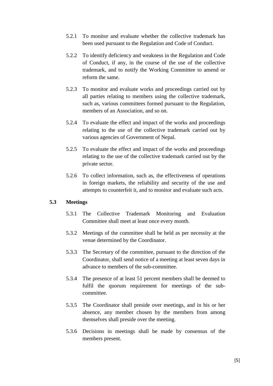- 5.2.1 To monitor and evaluate whether the collective trademark has been used pursuant to the Regulation and Code of Conduct.
- 5.2.2 To identify deficiency and weakness in the Regulation and Code of Conduct, if any, in the course of the use of the collective trademark, and to notify the Working Committee to amend or reform the same.
- 5.2.3 To monitor and evaluate works and proceedings carried out by all parties relating to members using the collective trademark, such as, various committees formed pursuant to the Regulation, members of an Association, and so on.
- 5.2.4 To evaluate the effect and impact of the works and proceedings relating to the use of the collective trademark carried out by various agencies of Government of Nepal.
- 5.2.5 To evaluate the effect and impact of the works and proceedings relating to the use of the collective trademark carried out by the private sector.
- 5.2.6 To collect information, such as, the effectiveness of operations in foreign markets, the reliability and security of the use and attempts to counterfeit it, and to monitor and evaluate such acts.

## **5.3 Meetings**

- 5.3.1 The Collective Trademark Monitoring and Evaluation Committee shall meet at least once every month.
- 5.3.2 Meetings of the committee shall be held as per necessity at the venue determined by the Coordinator.
- 5.3.3 The Secretary of the committee, pursuant to the direction of the Coordinator, shall send notice of a meeting at least seven days in advance to members of the sub-committee.
- 5.3.4 The presence of at least 51 percent members shall be deemed to fulfil the quorum requirement for meetings of the subcommittee.
- 5.3.5 The Coordinator shall preside over meetings, and in his or her absence, any member chosen by the members from among themselves shall preside over the meeting.
- 5.3.6 Decisions in meetings shall be made by consensus of the members present.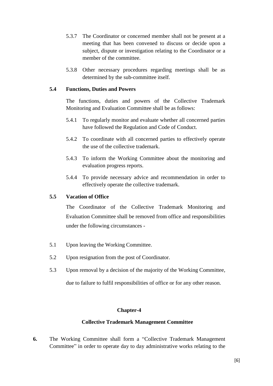- 5.3.7 The Coordinator or concerned member shall not be present at a meeting that has been convened to discuss or decide upon a subject, dispute or investigation relating to the Coordinator or a member of the committee.
- 5.3.8 Other necessary procedures regarding meetings shall be as determined by the sub-committee itself.

### **5.4 Functions, Duties and Powers**

The functions, duties and powers of the Collective Trademark Monitoring and Evaluation Committee shall be as follows:

- 5.4.1 To regularly monitor and evaluate whether all concerned parties have followed the Regulation and Code of Conduct.
- 5.4.2 To coordinate with all concerned parties to effectively operate the use of the collective trademark.
- 5.4.3 To inform the Working Committee about the monitoring and evaluation progress reports.
- 5.4.4 To provide necessary advice and recommendation in order to effectively operate the collective trademark.

## **5.5 Vacation of Office**

The Coordinator of the Collective Trademark Monitoring and Evaluation Committee shall be removed from office and responsibilities under the following circumstances -

- 5.1 Upon leaving the Working Committee.
- 5.2 Upon resignation from the post of Coordinator.
- 5.3 Upon removal by a decision of the majority of the Working Committee,

due to failure to fulfil responsibilities of office or for any other reason.

#### **Chapter-4**

#### **Collective Trademark Management Committee**

**6.** The Working Committee shall form a "Collective Trademark Management Committee" in order to operate day to day administrative works relating to the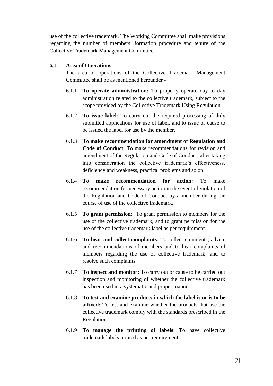use of the collective trademark. The Working Committee shall make provisions regarding the number of members, formation procedure and tenure of the Collective Trademark Management Committee

#### **6.1. Area of Operations**

The area of operations of the Collective Trademark Management Committee shall be as mentioned hereunder -

- 6.1.1 **To operate administration:** To properly operate day to day administration related to the collective trademark, subject to the scope provided by the Collective Trademark Using Regulation.
- 6.1.2 **To issue label**: To carry out the required processing of duly submitted applications for use of label, and to issue or cause to be issued the label for use by the member.
- 6.1.3 **To make recommendation for amendment of Regulation and Code of Conduct**: To make recommendations for revision and amendment of the Regulation and Code of Conduct, after taking into consideration the collective trademark's effectiveness, deficiency and weakness, practical problems and so on.
- 6.1.4 **To make recommendation for action:** To make recommendation for necessary action in the event of violation of the Regulation and Code of Conduct by a member during the course of use of the collective trademark.
- 6.1.5 **To grant permission:** To grant permission to members for the use of the collective trademark, and to grant permission for the use of the collective trademark label as per requirement.
- 6.1.6 **To hear and collect complaints**: To collect comments, advice and recommendations of members and to hear complaints of members regarding the use of collective trademark, and to resolve such complaints.
- 6.1.7 **To inspect and monitor:** To carry out or cause to be carried out inspection and monitoring of whether the collective trademark has been used in a systematic and proper manner.
- 6.1.8 **To test and examine products in which the label is or is to be affixed:** To test and examine whether the products that use the collective trademark comply with the standards prescribed in the Regulation.
- 6.1.9 **To manage the printing of labels**: To have collective trademark labels printed as per requirement.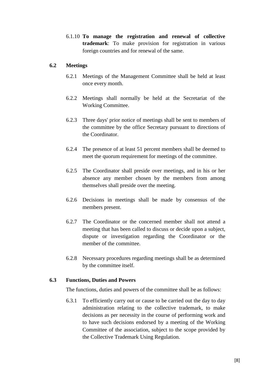6.1.10 **To manage the registration and renewal of collective trademark**: To make provision for registration in various foreign countries and for renewal of the same.

### **6.2 Meetings**

- 6.2.1 Meetings of the Management Committee shall be held at least once every month.
- 6.2.2 Meetings shall normally be held at the Secretariat of the Working Committee.
- 6.2.3 Three days' prior notice of meetings shall be sent to members of the committee by the office Secretary pursuant to directions of the Coordinator.
- 6.2.4 The presence of at least 51 percent members shall be deemed to meet the quorum requirement for meetings of the committee.
- 6.2.5 The Coordinator shall preside over meetings, and in his or her absence any member chosen by the members from among themselves shall preside over the meeting.
- 6.2.6 Decisions in meetings shall be made by consensus of the members present.
- 6.2.7 The Coordinator or the concerned member shall not attend a meeting that has been called to discuss or decide upon a subject, dispute or investigation regarding the Coordinator or the member of the committee.
- 6.2.8 Necessary procedures regarding meetings shall be as determined by the committee itself.

## **6.3 Functions, Duties and Powers**

The functions, duties and powers of the committee shall be as follows:

6.3.1 To efficiently carry out or cause to be carried out the day to day administration relating to the collective trademark, to make decisions as per necessity in the course of performing work and to have such decisions endorsed by a meeting of the Working Committee of the association, subject to the scope provided by the Collective Trademark Using Regulation.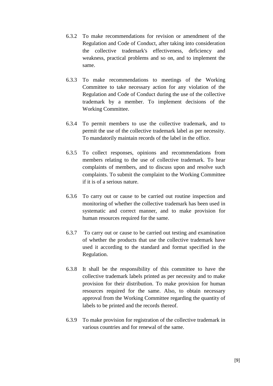- 6.3.2 To make recommendations for revision or amendment of the Regulation and Code of Conduct, after taking into consideration the collective trademark's effectiveness, deficiency and weakness, practical problems and so on, and to implement the same.
- 6.3.3 To make recommendations to meetings of the Working Committee to take necessary action for any violation of the Regulation and Code of Conduct during the use of the collective trademark by a member. To implement decisions of the Working Committee.
- 6.3.4 To permit members to use the collective trademark, and to permit the use of the collective trademark label as per necessity. To mandatorily maintain records of the label in the office.
- 6.3.5 To collect responses, opinions and recommendations from members relating to the use of collective trademark. To hear complaints of members, and to discuss upon and resolve such complaints. To submit the complaint to the Working Committee if it is of a serious nature.
- 6.3.6 To carry out or cause to be carried out routine inspection and monitoring of whether the collective trademark has been used in systematic and correct manner, and to make provision for human resources required for the same.
- 6.3.7 To carry out or cause to be carried out testing and examination of whether the products that use the collective trademark have used it according to the standard and format specified in the Regulation.
- 6.3.8 It shall be the responsibility of this committee to have the collective trademark labels printed as per necessity and to make provision for their distribution. To make provision for human resources required for the same. Also, to obtain necessary approval from the Working Committee regarding the quantity of labels to be printed and the records thereof.
- 6.3.9 To make provision for registration of the collective trademark in various countries and for renewal of the same.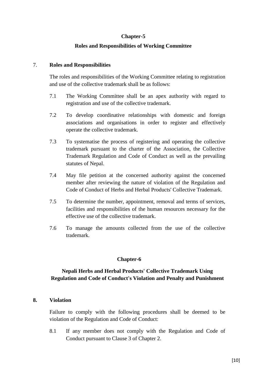#### **Roles and Responsibilities of Working Committee**

#### 7. **Roles and Responsibilities**

The roles and responsibilities of the Working Committee relating to registration and use of the collective trademark shall be as follows:

- 7.1 The Working Committee shall be an apex authority with regard to registration and use of the collective trademark.
- 7.2 To develop coordinative relationships with domestic and foreign associations and organisations in order to register and effectively operate the collective trademark.
- 7.3 To systematise the process of registering and operating the collective trademark pursuant to the charter of the Association, the Collective Trademark Regulation and Code of Conduct as well as the prevailing statutes of Nepal.
- 7.4 May file petition at the concerned authority against the concerned member after reviewing the nature of violation of the Regulation and Code of Conduct of Herbs and Herbal Products' Collective Trademark.
- 7.5 To determine the number, appointment, removal and terms of services, facilities and responsibilities of the human resources necessary for the effective use of the collective trademark.
- 7.6 To manage the amounts collected from the use of the collective trademark.

#### **Chapter-6**

## **Nepali Herbs and Herbal Products' Collective Trademark Using Regulation and Code of Conduct's Violation and Penalty and Punishment**

#### **8. Violation**

Failure to comply with the following procedures shall be deemed to be violation of the Regulation and Code of Conduct:

8.1 If any member does not comply with the Regulation and Code of Conduct pursuant to Clause 3 of Chapter 2.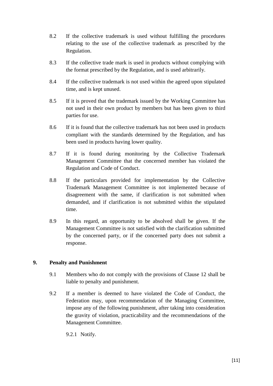- 8.2 If the collective trademark is used without fulfilling the procedures relating to the use of the collective trademark as prescribed by the Regulation.
- 8.3 If the collective trade mark is used in products without complying with the format prescribed by the Regulation, and is used arbitrarily.
- 8.4 If the collective trademark is not used within the agreed upon stipulated time, and is kept unused.
- 8.5 If it is proved that the trademark issued by the Working Committee has not used in their own product by members but has been given to third parties for use.
- 8.6 If it is found that the collective trademark has not been used in products compliant with the standards determined by the Regulation, and has been used in products having lower quality.
- 8.7 If it is found during monitoring by the Collective Trademark Management Committee that the concerned member has violated the Regulation and Code of Conduct.
- 8.8 If the particulars provided for implementation by the Collective Trademark Management Committee is not implemented because of disagreement with the same, if clarification is not submitted when demanded, and if clarification is not submitted within the stipulated time.
- 8.9 In this regard, an opportunity to be absolved shall be given. If the Management Committee is not satisfied with the clarification submitted by the concerned party, or if the concerned party does not submit a response.

## **9. Penalty and Punishment**

- 9.1 Members who do not comply with the provisions of Clause 12 shall be liable to penalty and punishment.
- 9.2 If a member is deemed to have violated the Code of Conduct, the Federation may, upon recommendation of the Managing Committee, impose any of the following punishment, after taking into consideration the gravity of violation, practicability and the recommendations of the Management Committee.

9.2.1 Notify.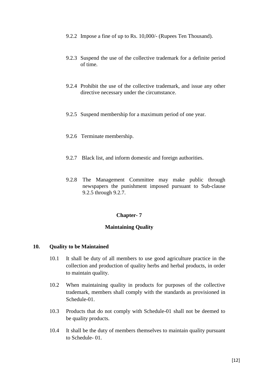- 9.2.2 Impose a fine of up to Rs. 10,000/- (Rupees Ten Thousand).
- 9.2.3 Suspend the use of the collective trademark for a definite period of time.
- 9.2.4 Prohibit the use of the collective trademark, and issue any other directive necessary under the circumstance.
- 9.2.5 Suspend membership for a maximum period of one year.
- 9.2.6 Terminate membership.
- 9.2.7 Black list, and inform domestic and foreign authorities.
- 9.2.8 The Management Committee may make public through newspapers the punishment imposed pursuant to Sub-clause 9.2.5 through 9.2.7.

#### **Maintaining Quality**

#### **10. Quality to be Maintained**

- 10.1 It shall be duty of all members to use good agriculture practice in the collection and production of quality herbs and herbal products, in order to maintain quality.
- 10.2 When maintaining quality in products for purposes of the collective trademark, members shall comply with the standards as provisioned in Schedule-01.
- 10.3 Products that do not comply with Schedule-01 shall not be deemed to be quality products.
- 10.4 It shall be the duty of members themselves to maintain quality pursuant to Schedule- 01.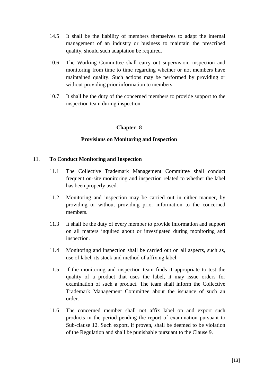- 14.5 It shall be the liability of members themselves to adapt the internal management of an industry or business to maintain the prescribed quality, should such adaptation be required.
- 10.6 The Working Committee shall carry out supervision, inspection and monitoring from time to time regarding whether or not members have maintained quality. Such actions may be performed by providing or without providing prior information to members.
- 10.7 It shall be the duty of the concerned members to provide support to the inspection team during inspection.

#### **Provisions on Monitoring and Inspection**

#### 11. **To Conduct Monitoring and Inspection**

- 11.1 The Collective Trademark Management Committee shall conduct frequent on-site monitoring and inspection related to whether the label has been properly used.
- 11.2 Monitoring and inspection may be carried out in either manner, by providing or without providing prior information to the concerned members.
- 11.3 It shall be the duty of every member to provide information and support on all matters inquired about or investigated during monitoring and inspection.
- 11.4 Monitoring and inspection shall be carried out on all aspects, such as, use of label, its stock and method of affixing label.
- 11.5 If the monitoring and inspection team finds it appropriate to test the quality of a product that uses the label, it may issue orders for examination of such a product. The team shall inform the Collective Trademark Management Committee about the issuance of such an order.
- 11.6 The concerned member shall not affix label on and export such products in the period pending the report of examination pursuant to Sub-clause 12. Such export, if proven, shall be deemed to be violation of the Regulation and shall be punishable pursuant to the Clause 9.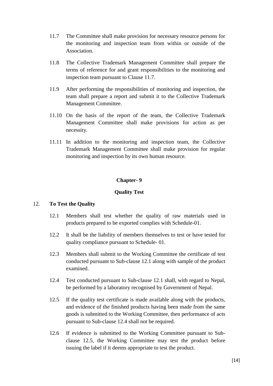- 11.7 The Committee shall make provision for necessary resource persons for the monitoring and inspection team from within or outside of the Association.
- 11.8 The Collective Trademark Management Committee shall prepare the terms of reference for and grant responsibilities to the monitoring and inspection team pursuant to Clause 11.7.
- 11.9 After performing the responsibilities of monitoring and inspection, the team shall prepare a report and submit it to the Collective Trademark Management Committee.
- 11.10 On the basis of the report of the team, the Collective Trademark Management Committee shall make provisions for action as per necessity.
- 11.11 In addition to the monitoring and inspection team, the Collective Trademark Management Committee shall make provision for regular monitoring and inspection by its own human resource.

## **Quality Test**

## 12. **To Test the Quality**

- 12.1 Members shall test whether the quality of raw materials used in products prepared to be exported complies with Schedule-01.
- 12.2 It shall be the liability of members themselves to test or have tested for quality compliance pursuant to Schedule- 01.
- 12.3 Members shall submit to the Working Committee the certificate of test conducted pursuant to Sub-clause 12.1 along with sample of the product examined.
- 12.4 Test conducted pursuant to Sub-clause 12.1 shall, with regard to Nepal, be performed by a laboratory recognised by Government of Nepal.
- 12.5 If the quality test certificate is made available along with the products, and evidence of the finished products having been made from the same goods is submitted to the Working Committee, then performance of acts pursuant to Sub-clause 12.4 shall not be required.
- 12.6 If evidence is submitted to the Working Committee pursuant to Subclause 12.5, the Working Committee may test the product before issuing the label if it deems appropriate to test the product.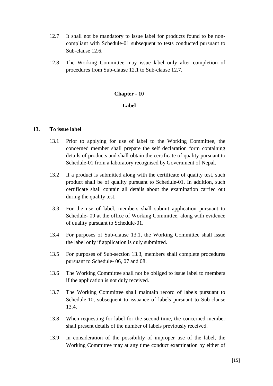- 12.7 It shall not be mandatory to issue label for products found to be noncompliant with Schedule-01 subsequent to tests conducted pursuant to Sub-clause 12.6.
- 12.8 The Working Committee may issue label only after completion of procedures from Sub-clause 12.1 to Sub-clause 12.7.

#### **Label**

#### **13. To issue label**

- 13.1 Prior to applying for use of label to the Working Committee, the concerned member shall prepare the self declaration form containing details of products and shall obtain the certificate of quality pursuant to Schedule-01 from a laboratory recognised by Government of Nepal.
- 13.2 If a product is submitted along with the certificate of quality test, such product shall be of quality pursuant to Schedule-01. In addition, such certificate shall contain all details about the examination carried out during the quality test.
- 13.3 For the use of label, members shall submit application pursuant to Schedule- 09 at the office of Working Committee, along with evidence of quality pursuant to Schedule-01.
- 13.4 For purposes of Sub-clause 13.1, the Working Committee shall issue the label only if application is duly submitted.
- 13.5 For purposes of Sub-section 13.3, members shall complete procedures pursuant to Schedule- 06, 07 and 08.
- 13.6 The Working Committee shall not be obliged to issue label to members if the application is not duly received.
- 13.7 The Working Committee shall maintain record of labels pursuant to Schedule-10, subsequent to issuance of labels pursuant to Sub-clause 13.4.
- 13.8 When requesting for label for the second time, the concerned member shall present details of the number of labels previously received.
- 13.9 In consideration of the possibility of improper use of the label, the Working Committee may at any time conduct examination by either of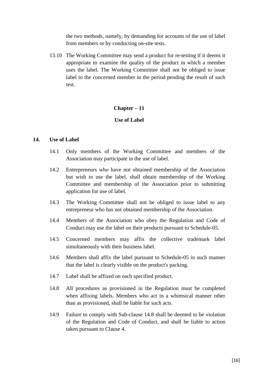the two methods, namely, by demanding for accounts of the use of label from members or by conducting on-site tests.

13.10 The Working Committee may send a product for re-testing if it deems it appropriate to examine the quality of the product in which a member uses the label. The Working Committee shall not be obliged to issue label to the concerned member in the period pending the result of such test.

#### **Chapter – 11**

#### **Use of Label**

#### **14. Use of Label**

- 14.1 Only members of the Working Committee and members of the Association may participate in the use of label.
- 14.2 Entrepreneurs who have not obtained membership of the Association but wish to use the label, shall obtain membership of the Working Committee and membership of the Association prior to submitting application for use of label.
- 14.3 The Working Committee shall not be obliged to issue label to any entrepreneur who has not obtained membership of the Association.
- 14.4 Members of the Association who obey the Regulation and Code of Conduct may use the label on their products pursuant to Schedule-05.
- 14.5 Concerned members may affix the collective trademark label simultaneously with their business label.
- 14.6 Members shall affix the label pursuant to Schedule-05 in such manner that the label is clearly visible on the product's packing.
- 14.7 Label shall be affixed on each specified product.
- 14.8 All procedures as provisioned in the Regulation must be completed when affixing labels. Members who act in a whimsical manner other than as provisioned, shall be liable for such acts.
- 14.9 Failure to comply with Sub-clause 14.8 shall be deemed to be violation of the Regulation and Code of Conduct, and shall be liable to action taken pursuant to Clause 4.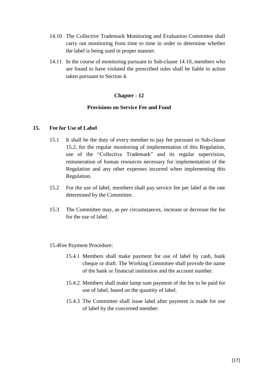- 14.10 The Collective Trademark Monitoring and Evaluation Committee shall carry out monitoring from time to time in order to determine whether the label is being used in proper manner.
- 14.11 In the course of monitoring pursuant to Sub-clause 14.10, members who are found to have violated the prescribed rules shall be liable to action taken pursuant to Section 4.

## **Provisions on Service Fee and Fund**

#### **15. Fee for Use of Label**

- 15.1 It shall be the duty of every member to pay fee pursuant to Sub-clause 15.2, for the regular monitoring of implementation of this Regulation, use of the "Collective Trademark" and its regular supervision, remuneration of human resources necessary for implementation of the Regulation and any other expenses incurred when implementing this Regulation.
- 15.2 For the use of label, members shall pay service fee per label at the rate determined by the Committee.
- 15.3 The Committee may, as per circumstances, increase or decrease the fee for the use of label.
- 15.4Fee Payment Procedure:
	- 15.4.1 Members shall make payment for use of label by cash, bank cheque or draft. The Working Committee shall provide the name of the bank or financial institution and the account number.
	- 15.4.2 Members shall make lump sum payment of the fee to be paid for use of label, based on the quantity of label.
	- 15.4.3 The Committee shall issue label after payment is made for use of label by the concerned member.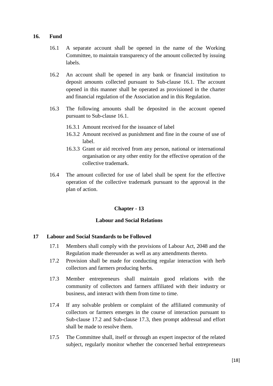#### **16. Fund**

- 16.1 A separate account shall be opened in the name of the Working Committee, to maintain transparency of the amount collected by issuing labels.
- 16.2 An account shall be opened in any bank or financial institution to deposit amounts collected pursuant to Sub-clause 16.1. The account opened in this manner shall be operated as provisioned in the charter and financial regulation of the Association and in this Regulation.
- 16.3 The following amounts shall be deposited in the account opened pursuant to Sub-clause 16.1.
	- 16.3.1 Amount received for the issuance of label
	- 16.3.2 Amount received as punishment and fine in the course of use of label.
	- 16.3.3 Grant or aid received from any person, national or international organisation or any other entity for the effective operation of the collective trademark.
- 16.4 The amount collected for use of label shall be spent for the effective operation of the collective trademark pursuant to the approval in the plan of action.

## **Chapter - 13**

## **Labour and Social Relations**

## **17 Labour and Social Standards to be Followed**

- 17.1 Members shall comply with the provisions of Labour Act, 2048 and the Regulation made thereunder as well as any amendments thereto.
- 17.2 Provision shall be made for conducting regular interaction with herb collectors and farmers producing herbs.
- 17.3 Member entrepreneurs shall maintain good relations with the community of collectors and farmers affiliated with their industry or business, and interact with them from time to time.
- 17.4 If any solvable problem or complaint of the affiliated community of collectors or farmers emerges in the course of interaction pursuant to Sub-clause 17.2 and Sub-clause 17.3, then prompt addressal and effort shall be made to resolve them.
- 17.5 The Committee shall, itself or through an expert inspector of the related subject, regularly monitor whether the concerned herbal entrepreneurs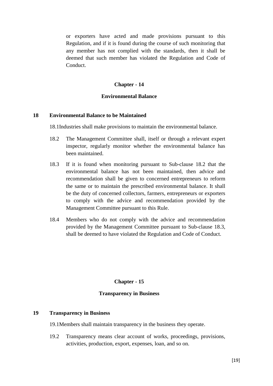or exporters have acted and made provisions pursuant to this Regulation, and if it is found during the course of such monitoring that any member has not complied with the standards, then it shall be deemed that such member has violated the Regulation and Code of Conduct.

#### **Chapter - 14**

#### **Environmental Balance**

#### **18 Environmental Balance to be Maintained**

18.1Industries shall make provisions to maintain the environmental balance.

- 18.2 The Management Committee shall, itself or through a relevant expert inspector, regularly monitor whether the environmental balance has been maintained.
- 18.3 If it is found when monitoring pursuant to Sub-clause 18.2 that the environmental balance has not been maintained, then advice and recommendation shall be given to concerned entrepreneurs to reform the same or to maintain the prescribed environmental balance. It shall be the duty of concerned collectors, farmers, entrepreneurs or exporters to comply with the advice and recommendation provided by the Management Committee pursuant to this Rule.
- 18.4 Members who do not comply with the advice and recommendation provided by the Management Committee pursuant to Sub-clause 18.3, shall be deemed to have violated the Regulation and Code of Conduct.

#### **Chapter - 15**

#### **Transparency in Business**

#### **19 Transparency in Business**

19.1Members shall maintain transparency in the business they operate.

19.2 Transparency means clear account of works, proceedings, provisions, activities, production, export, expenses, loan, and so on.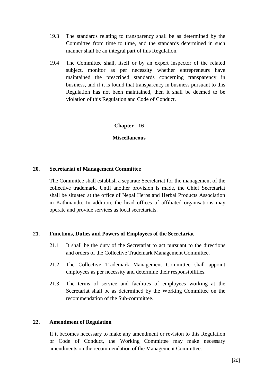- 19.3 The standards relating to transparency shall be as determined by the Committee from time to time, and the standards determined in such manner shall be an integral part of this Regulation.
- 19.4 The Committee shall, itself or by an expert inspector of the related subject, monitor as per necessity whether entrepreneurs have maintained the prescribed standards concerning transparency in business, and if it is found that transparency in business pursuant to this Regulation has not been maintained, then it shall be deemed to be violation of this Regulation and Code of Conduct.

#### **Miscellaneous**

#### **20. Secretariat of Management Committee**

The Committee shall establish a separate Secretariat for the management of the collective trademark. Until another provision is made, the Chief Secretariat shall be situated at the office of Nepal Herbs and Herbal Products Association in Kathmandu. In addition, the head offices of affiliated organisations may operate and provide services as local secretariats.

#### **21. Functions, Duties and Powers of Employees of the Secretariat**

- 21.1 It shall be the duty of the Secretariat to act pursuant to the directions and orders of the Collective Trademark Management Committee.
- 21.2 The Collective Trademark Management Committee shall appoint employees as per necessity and determine their responsibilities.
- 21.3 The terms of service and facilities of employees working at the Secretariat shall be as determined by the Working Committee on the recommendation of the Sub-committee.

#### **22. Amendment of Regulation**

If it becomes necessary to make any amendment or revision to this Regulation or Code of Conduct, the Working Committee may make necessary amendments on the recommendation of the Management Committee.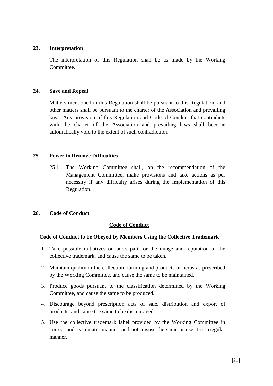### **23. Interpretation**

The interpretation of this Regulation shall be as made by the Working Committee.

#### **24. Save and Repeal**

Matters mentioned in this Regulation shall be pursuant to this Regulation, and other matters shall be pursuant to the charter of the Association and prevailing laws. Any provision of this Regulation and Code of Conduct that contradicts with the charter of the Association and prevailing laws shall become automatically void to the extent of such contradiction.

#### **25. Power to Remove Difficulties**

25.1 The Working Committee shall, on the recommendation of the Management Committee, make provisions and take actions as per necessity if any difficulty arises during the implementation of this Regulation.

## **26. Code of Conduct**

## **Code of Conduct**

## **Code of Conduct to be Obeyed by Members Using the Collective Trademark**

- 1. Take possible initiatives on one's part for the image and reputation of the collective trademark, and cause the same to be taken.
- 2. Maintain quality in the collection, farming and products of herbs as prescribed by the Working Committee, and cause the same to be maintained.
- 3. Produce goods pursuant to the classification determined by the Working Committee, and cause the same to be produced.
- 4. Discourage beyond prescription acts of sale, distribution and export of products, and cause the same to be discouraged.
- 5. Use the collective trademark label provided by the Working Committee in correct and systematic manner, and not misuse the same or use it in irregular manner.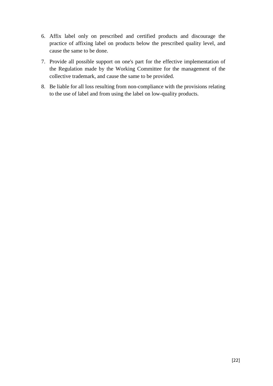- 6. Affix label only on prescribed and certified products and discourage the practice of affixing label on products below the prescribed quality level, and cause the same to be done.
- 7. Provide all possible support on one's part for the effective implementation of the Regulation made by the Working Committee for the management of the collective trademark, and cause the same to be provided.
- 8. Be liable for all loss resulting from non-compliance with the provisions relating to the use of label and from using the label on low-quality products.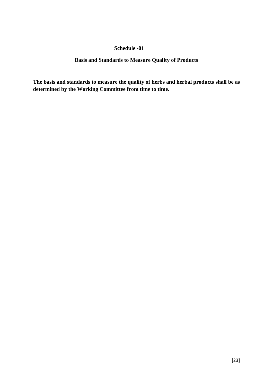## **Basis and Standards to Measure Quality of Products**

**The basis and standards to measure the quality of herbs and herbal products shall be as determined by the Working Committee from time to time.**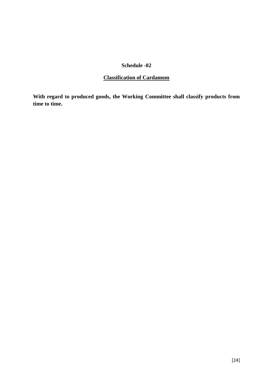## **Classification of Cardamom**

**With regard to produced goods, the Working Committee shall classify products from time to time.**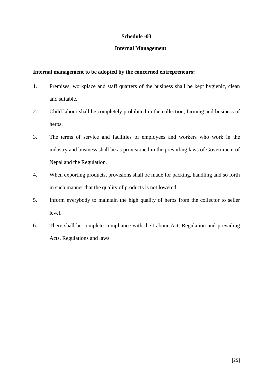#### **Internal Management**

#### **Internal management to be adopted by the concerned entrepreneurs:**

- 1. Premises, workplace and staff quarters of the business shall be kept hygienic, clean and suitable.
- 2. Child labour shall be completely prohibited in the collection, farming and business of herbs.
- 3. The terms of service and facilities of employees and workers who work in the industry and business shall be as provisioned in the prevailing laws of Government of Nepal and the Regulation.
- 4. When exporting products, provisions shall be made for packing, handling and so forth in such manner that the quality of products is not lowered.
- 5. Inform everybody to maintain the high quality of herbs from the collector to seller level.
- 6. There shall be complete compliance with the Labour Act, Regulation and prevailing Acts, Regulations and laws.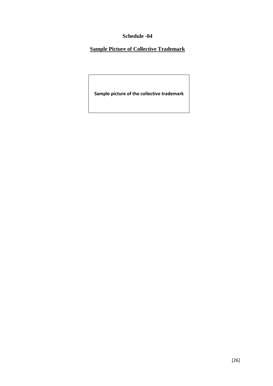**Sample Picture of Collective Trademark**

**Sample picture of the collective trademark**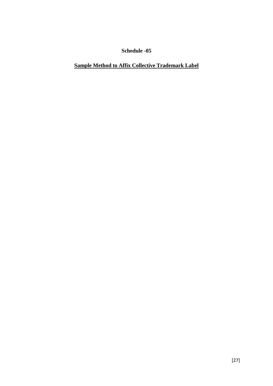## **Sample Method to Affix Collective Trademark Label**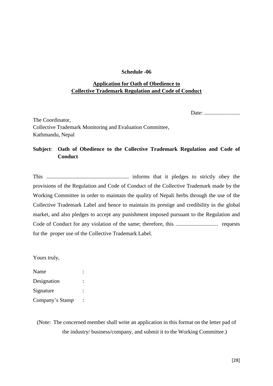## **Application for Oath of Obedience to Collective Trademark Regulation and Code of Conduct**

Date: .............................

The Coordinator, Collective Trademark Monitoring and Evaluation Committee, Kathmandu, Nepal

## **Subject**: **Oath of Obedience to the Collective Trademark Regulation and Code of Conduct**

This ............................................................ informs that it pledges to strictly obey the provisions of the Regulation and Code of Conduct of the Collective Trademark made by the Working Committee in order to maintain the quality of Nepali herbs through the use of the Collective Trademark Label and hence to maintain its prestige and credibility in the global market, and also pledges to accept any punishment imposed pursuant to the Regulation and Code of Conduct for any violation of the same; therefore, this ............................... requests for the proper use of the Collective Trademark Label.

Yours truly,

| Name            |  |
|-----------------|--|
| Designation     |  |
| Signature       |  |
| Company's Stamp |  |

(Note: The concerned member shall write an application in this format on the letter pad of the industry/ business/company, and submit it to the Working Committee.)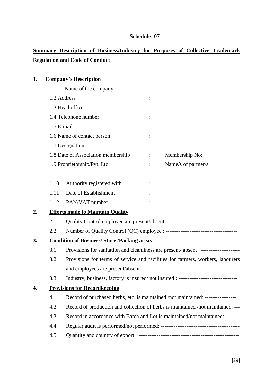# **Summary Description of Business/Industry for Purposes of Collective Trademark Regulation and Code of Conduct**

| 1. |            | <b>Company's Description</b>                       |                                     |                                                                                         |
|----|------------|----------------------------------------------------|-------------------------------------|-----------------------------------------------------------------------------------------|
|    | 1.1        | Name of the company                                |                                     |                                                                                         |
|    |            | 1.2 Address                                        |                                     |                                                                                         |
|    |            | 1.3 Head office                                    |                                     |                                                                                         |
|    |            | 1.4 Telephone number                               |                                     |                                                                                         |
|    | 1.5 E-mail |                                                    |                                     |                                                                                         |
|    |            | 1.6 Name of contact person                         |                                     |                                                                                         |
|    |            | 1.7 Designation                                    |                                     |                                                                                         |
|    |            | 1.8 Date of Association membership                 |                                     | Membership No:                                                                          |
|    |            | 1.9 Proprietorship/Pvt. Ltd.                       | $\mathbb{Z}^n$ . The $\mathbb{Z}^n$ | Name/s of partner/s.                                                                    |
|    | 1.10       | Authority registered with                          |                                     |                                                                                         |
|    | 1.11       | Date of Establishment                              |                                     |                                                                                         |
|    | 1.12       | PAN/VAT number                                     |                                     |                                                                                         |
| 2. |            | <b>Efforts made to Maintain Quality</b>            |                                     |                                                                                         |
|    | 2.1        |                                                    |                                     | Quality Control employee are present/absent: -----------------------------------        |
|    | 2.2        |                                                    |                                     |                                                                                         |
| 3. |            | <b>Condition of Business/ Store /Packing areas</b> |                                     |                                                                                         |
|    | 3.1        |                                                    |                                     | Provisions for sanitation and cleanliness are present/absent : ------------------------ |
|    | 3.2        |                                                    |                                     | Provisions for terms of service and facilities for farmers, workers, labourers          |
|    |            |                                                    |                                     |                                                                                         |
|    | 3.3        |                                                    |                                     | Industry, business, factory is insured/not insured : --------------------------------   |
| 4. |            | <b>Provisions for Recordkeeping</b>                |                                     |                                                                                         |
|    | 4.1        |                                                    |                                     | Record of purchased herbs, etc. is maintained /not maintained: -----------------        |
|    | 4.2        |                                                    |                                     | Record of production and collection of herbs is maintained /not maintained: ---         |
|    | 4.3        |                                                    |                                     | Record in accordance with Batch and Lot is maintained/not maintained: -------           |
|    | 4.4        |                                                    |                                     |                                                                                         |
|    | 4.5        |                                                    |                                     |                                                                                         |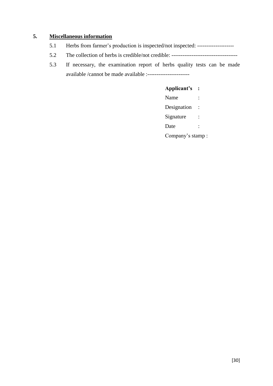## **5. Miscellaneous information**

- 5.1 Herbs from farmer's production is inspected/not inspected: --------------------
- 5.2 The collection of herbs is credible/not credible: ------------------------------------
- 5.3 If necessary, the examination report of herbs quality tests can be made available /cannot be made available :-----------------------

## **Applicant's :**

Name : Designation : Signature : Date : Company's stamp :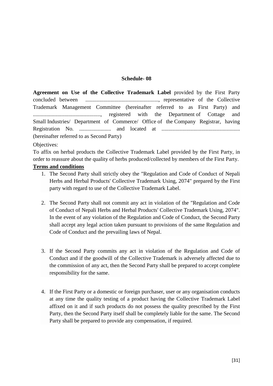**Agreement on Use of the Collective Trademark Label** provided by the First Party concluded between ....................................................., representative of the Collective Trademark Management Committee (hereinafter referred to as First Party) and ................................................., registered with the Department of Cottage and Small Industries/ Department of Commerce/ Office of the Company Registrar, having Registration No. ....................... and located at ......................................................... (hereinafter referred to as Second Party)

#### Objectives:

To affix on herbal products the Collective Trademark Label provided by the First Party, in order to reassure about the quality of herbs produced/collected by members of the First Party.

#### **Terms and conditions**

- 1. The Second Party shall strictly obey the "Regulation and Code of Conduct of Nepali Herbs and Herbal Products' Collective Trademark Using, 2074" prepared by the First party with regard to use of the Collective Trademark Label.
- 2. The Second Party shall not commit any act in violation of the "Regulation and Code of Conduct of Nepali Herbs and Herbal Products' Collective Trademark Using, 2074". In the event of any violation of the Regulation and Code of Conduct, the Second Party shall accept any legal action taken pursuant to provisions of the same Regulation and Code of Conduct and the prevailing laws of Nepal.
- 3. If the Second Party commits any act in violation of the Regulation and Code of Conduct and if the goodwill of the Collective Trademark is adversely affected due to the commission of any act, then the Second Party shall be prepared to accept complete responsibility for the same.
- 4. If the First Party or a domestic or foreign purchaser, user or any organisation conducts at any time the quality testing of a product having the Collective Trademark Label affixed on it and if such products do not possess the quality prescribed by the First Party, then the Second Party itself shall be completely liable for the same. The Second Party shall be prepared to provide any compensation, if required.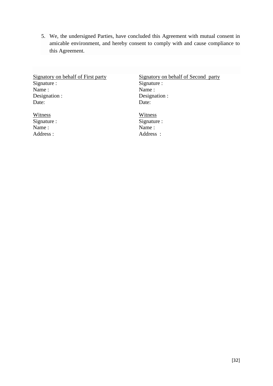5. We, the undersigned Parties, have concluded this Agreement with mutual consent in amicable environment, and hereby consent to comply with and cause compliance to this Agreement.

Signatory on behalf of First party Signature : Name : Designation : Date:

**Witness** Signature : Name : Address :

Signatory on behalf of Second party Signature : Name : Designation : Date:

**Witness** Signature : Name : Address :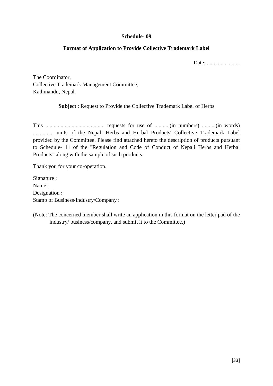## **Format of Application to Provide Collective Trademark Label**

Date: ........................

The Coordinator, Collective Trademark Management Committee, Kathmandu, Nepal.

**Subject** : Request to Provide the Collective Trademark Label of Herbs

This ........................................... requests for use of ...........(in numbers) ..........(in words) ............... units of the Nepali Herbs and Herbal Products' Collective Trademark Label provided by the Committee. Please find attached hereto the description of products pursuant to Schedule- 11 of the "Regulation and Code of Conduct of Nepali Herbs and Herbal Products" along with the sample of such products.

Thank you for your co-operation.

Signature : Name : Designation **:** Stamp of Business/Industry/Company :

(Note: The concerned member shall write an application in this format on the letter pad of the industry/ business/company, and submit it to the Committee.)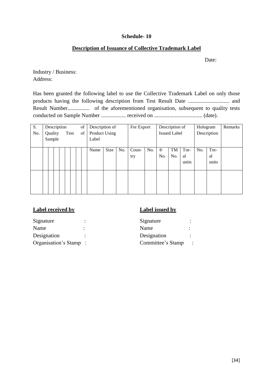## **Description of Issuance of Collective Trademark Label**

Date:

Industry / Business: Address:

Has been granted the following label to use the Collective Trademark Label on only those products having the following description from Test Result Date .............................. and Result Number................ of the aforementioned organisation, subsequent to quality tests conducted on Sample Number .................. received on ................................... (date).

| S.  |  | Description |  |  |      |  | of | Description of |      |     | For Export |     |                     | Description of |       | Hologram |             | Remarks |
|-----|--|-------------|--|--|------|--|----|----------------|------|-----|------------|-----|---------------------|----------------|-------|----------|-------------|---------|
| No. |  | Quality     |  |  | Test |  | of | Product Using  |      |     |            |     | <b>Issued Label</b> |                |       |          | Description |         |
|     |  | Sample      |  |  |      |  |    | Label          |      |     |            |     |                     |                |       |          |             |         |
|     |  |             |  |  |      |  |    |                |      |     |            |     |                     |                |       |          |             |         |
|     |  |             |  |  |      |  |    | Name           | Size | No. | Coun-      | No. | $^{\circledR}$      | <b>TM</b>      | Tot-  | No.      | Tot-        |         |
|     |  |             |  |  |      |  |    |                |      |     | try        |     | No.                 | No.            | al    |          | al          |         |
|     |  |             |  |  |      |  |    |                |      |     |            |     |                     |                | units |          | units       |         |
|     |  |             |  |  |      |  |    |                |      |     |            |     |                     |                |       |          |             |         |
|     |  |             |  |  |      |  |    |                |      |     |            |     |                     |                |       |          |             |         |
|     |  |             |  |  |      |  |    |                |      |     |            |     |                     |                |       |          |             |         |
|     |  |             |  |  |      |  |    |                |      |     |            |     |                     |                |       |          |             |         |
|     |  |             |  |  |      |  |    |                |      |     |            |     |                     |                |       |          |             |         |

## **Label received by**

| Signature            |  |
|----------------------|--|
| Name                 |  |
| Designation          |  |
| Organisation's Stamp |  |

## **Label issued by**

| Signature         |  |
|-------------------|--|
| Name              |  |
| Designation       |  |
| Committee's Stamp |  |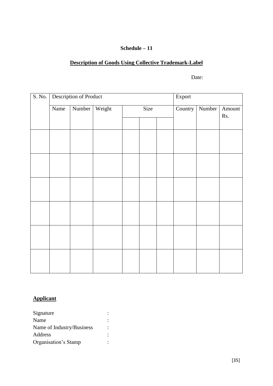## **Schedule – 11**

## **Description of Goods Using Collective Trademark-Label**

Date:

| $\overline{S}$ . No. |      | Description of Product |        |      | Export  |        |               |  |  |  |
|----------------------|------|------------------------|--------|------|---------|--------|---------------|--|--|--|
|                      | Name | Number                 | Weight | Size | Country | Number | Amount<br>Rs. |  |  |  |
|                      |      |                        |        |      |         |        |               |  |  |  |
|                      |      |                        |        |      |         |        |               |  |  |  |
|                      |      |                        |        |      |         |        |               |  |  |  |
|                      |      |                        |        |      |         |        |               |  |  |  |
|                      |      |                        |        |      |         |        |               |  |  |  |
|                      |      |                        |        |      |         |        |               |  |  |  |
|                      |      |                        |        |      |         |        |               |  |  |  |
|                      |      |                        |        |      |         |        |               |  |  |  |
|                      |      |                        |        |      |         |        |               |  |  |  |
|                      |      |                        |        |      |         |        |               |  |  |  |
|                      |      |                        |        |      |         |        |               |  |  |  |
|                      |      |                        |        |      |         |        |               |  |  |  |
|                      |      |                        |        |      |         |        |               |  |  |  |

## **Applicant**

| Signature                 |  |
|---------------------------|--|
| Name                      |  |
| Name of Industry/Business |  |
| Address                   |  |
| Organisation's Stamp      |  |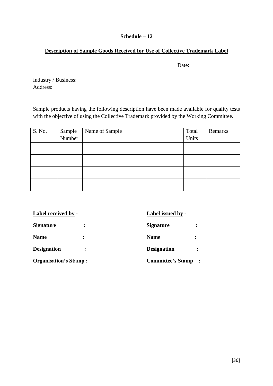## **Schedule – 12**

## **Description of Sample Goods Received for Use of Collective Trademark Label**

Date:

Industry / Business: Address:

Sample products having the following description have been made available for quality tests with the objective of using the Collective Trademark provided by the Working Committee.

| S. No. | Sample<br>Number | Name of Sample | Total | Remarks |
|--------|------------------|----------------|-------|---------|
|        |                  |                | Units |         |
|        |                  |                |       |         |
|        |                  |                |       |         |
|        |                  |                |       |         |
|        |                  |                |       |         |

| <b>Label received by -</b>   | Label issued by - |                          |                |  |  |  |
|------------------------------|-------------------|--------------------------|----------------|--|--|--|
| <b>Signature</b>             |                   | <b>Signature</b>         |                |  |  |  |
| <b>Name</b>                  |                   | <b>Name</b>              |                |  |  |  |
| <b>Designation</b>           |                   | <b>Designation</b>       |                |  |  |  |
| <b>Organisation's Stamp:</b> |                   | <b>Committee's Stamp</b> | $\ddot{\cdot}$ |  |  |  |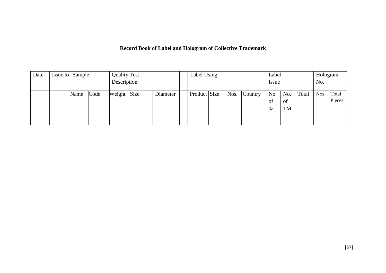## **Record Book of Label and Hologram of Collective Trademark**

| Date | Issue to Sample |      |      | <b>Quality Test</b> |  |          |  | Label Using  |       |         | Label          |     |       | Hologram |        |
|------|-----------------|------|------|---------------------|--|----------|--|--------------|-------|---------|----------------|-----|-------|----------|--------|
|      |                 |      |      | Description         |  |          |  |              | Issue |         |                | No. |       |          |        |
|      |                 | Name | Code | Weight Size         |  | Diameter |  | Product Size | Nos.  | Country | N <sub>o</sub> | No. | Total | Nos.     | Total  |
|      |                 |      |      |                     |  |          |  |              |       |         | 0 <sup>t</sup> | of  |       |          | Pieces |
|      |                 |      |      |                     |  |          |  |              |       |         | $^{\circledR}$ | TM  |       |          |        |
|      |                 |      |      |                     |  |          |  |              |       |         |                |     |       |          |        |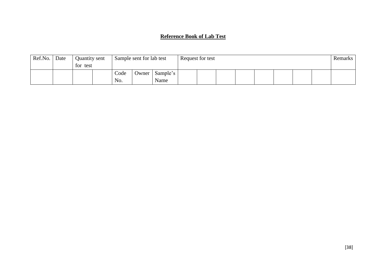## **Reference Book of Lab Test**

| Ref.No. | Date | Quantity sent<br>for test |             | Sample sent for lab test |                  | Request for test |  |  |  |  |  |  |  | Remarks |
|---------|------|---------------------------|-------------|--------------------------|------------------|------------------|--|--|--|--|--|--|--|---------|
|         |      |                           | Code<br>No. | Owner                    | Sample's<br>Name |                  |  |  |  |  |  |  |  |         |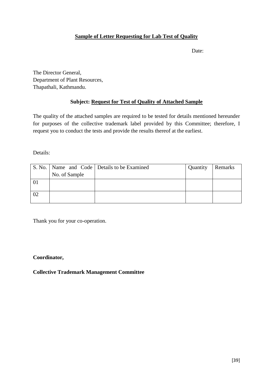## **Sample of Letter Requesting for Lab Test of Quality**

Date:

The Director General, Department of Plant Resources, Thapathali, Kathmandu.

## **Subject: Request for Test of Quality of Attached Sample**

The quality of the attached samples are required to be tested for details mentioned hereunder for purposes of the collective trademark label provided by this Committee; therefore, I request you to conduct the tests and provide the results thereof at the earliest.

Details:

|    |               | S. No.   Name and Code   Details to be Examined | Quantity | Remarks |
|----|---------------|-------------------------------------------------|----------|---------|
|    | No. of Sample |                                                 |          |         |
|    |               |                                                 |          |         |
|    |               |                                                 |          |         |
| 02 |               |                                                 |          |         |
|    |               |                                                 |          |         |

Thank you for your co-operation.

## **Coordinator,**

**Collective Trademark Management Committee**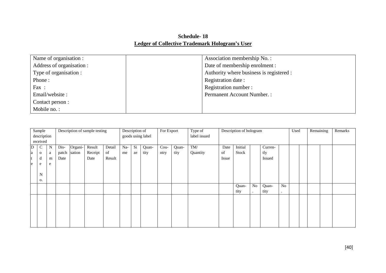## **Schedule- 18 Ledger of Collective Trademark Hologram's User**

| Name of organisation :    | Association membership No.:              |
|---------------------------|------------------------------------------|
| Address of organisation : | Date of membership enrolment :           |
| Type of organisation :    | Authority where business is registered : |
| Phone:                    | Registration date:                       |
| Fax:                      | Registration number:                     |
| Email/website:            | <b>Permanent Account Number.:</b>        |
| Contact person :          |                                          |
| Mobile no.:               |                                          |

|             | Description of sample testing<br>Sample |   |                   |         | Description of<br>For Export |        |              | Type of | Description of hologram |      |       |                         |       | Used    |           | Remaining     |                | Remarks |  |  |  |  |
|-------------|-----------------------------------------|---|-------------------|---------|------------------------------|--------|--------------|---------|-------------------------|------|-------|-------------------------|-------|---------|-----------|---------------|----------------|---------|--|--|--|--|
| description |                                         |   | goods using label |         |                              |        | label issued |         |                         |      |       |                         |       |         |           |               |                |         |  |  |  |  |
| received    |                                         |   |                   |         |                              |        |              |         |                         |      |       |                         |       |         |           |               |                |         |  |  |  |  |
| D           | $\mathbf C$                             | N | Dis-              | Organi- | Result                       | Detail | Na-          | Si      | Quan-                   | Cou- | Quan- | $\mathrm{T}\mathrm{M}/$ | Date  | Initial |           | Curren-       |                |         |  |  |  |  |
|             | $\mathbf{O}$                            | a | patch             | sation  | Receipt                      | of     | me           | ze      | tity                    | ntry | tity  | Quantity                | of    | Stock   |           | tly           |                |         |  |  |  |  |
|             | d                                       | m | Date              |         | Date                         | Result |              |         |                         |      |       |                         | Issue |         |           | <b>Issued</b> |                |         |  |  |  |  |
| e           | e                                       | e |                   |         |                              |        |              |         |                         |      |       |                         |       |         |           |               |                |         |  |  |  |  |
|             |                                         |   |                   |         |                              |        |              |         |                         |      |       |                         |       |         |           |               |                |         |  |  |  |  |
|             | N                                       |   |                   |         |                              |        |              |         |                         |      |       |                         |       |         |           |               |                |         |  |  |  |  |
|             | О.                                      |   |                   |         |                              |        |              |         |                         |      |       |                         |       |         |           |               |                |         |  |  |  |  |
|             |                                         |   |                   |         |                              |        |              |         |                         |      |       |                         |       | Quan-   | No        | Quan-         | N <sub>o</sub> |         |  |  |  |  |
|             |                                         |   |                   |         |                              |        |              |         |                         |      |       |                         |       | tity    | $\bullet$ | tity          | $\bullet$      |         |  |  |  |  |
|             |                                         |   |                   |         |                              |        |              |         |                         |      |       |                         |       |         |           |               |                |         |  |  |  |  |
|             |                                         |   |                   |         |                              |        |              |         |                         |      |       |                         |       |         |           |               |                |         |  |  |  |  |
|             |                                         |   |                   |         |                              |        |              |         |                         |      |       |                         |       |         |           |               |                |         |  |  |  |  |
|             |                                         |   |                   |         |                              |        |              |         |                         |      |       |                         |       |         |           |               |                |         |  |  |  |  |
|             |                                         |   |                   |         |                              |        |              |         |                         |      |       |                         |       |         |           |               |                |         |  |  |  |  |
|             |                                         |   |                   |         |                              |        |              |         |                         |      |       |                         |       |         |           |               |                |         |  |  |  |  |